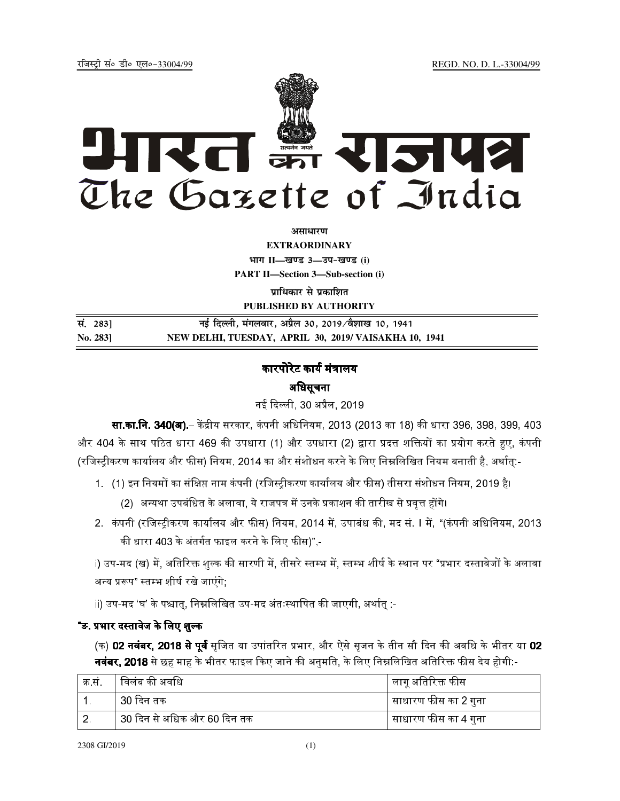REGD. NO. D. L.-33004/99

रजिस्टी सं० डी० एल०-33004/99



अमाधारण

**EXTRAORDINARY** भाग II-खण्ड 3-उप-खण्ड (i) **PART II-Section 3-Sub-section (i)** 

प्राधिकार से प्रकाशित PUBLISHED BY AUTHORITY

| सं. 283] | नई दिल्ली, मंगलवार, अप्रैल 30, 2019/वैशाख 10, 1941    |
|----------|-------------------------------------------------------|
| No. 2831 | NEW DELHI, TUESDAY, APRIL 30, 2019/ VAISAKHA 10, 1941 |

# कारपोरेट कार्य मंत्रालय अधिसूचना

नई दिल्ली, 30 अप्रैल, 2019

**सा.का.नि. 340(अ).**– केंद्रीय सरकार, कंपनी अधिनियम, 2013 (2013 का 18) की धारा 396, 398, 399, 403 और 404 के साथ पठित धारा 469 की उपधारा (1) और उपधारा (2) द्वारा प्रदत्त शक्तियों का प्रयोग करते हुए, कंपनी (रजिस्ट्रीकरण कार्यालय और फीस) नियम, 2014 का और संशोधन करने के लिए निम्नलिखित नियम बनाती है, अर्थातु:-

- 1. (1) इन नियमों का संक्षिप्त नाम कंपनी (रजिस्ट्रीकरण कार्यालय और फीस) तीसरा संशोधन नियम, 2019 है।
	- (2) अन्यथा उपबंधित के अलावा, ये राजपत्र में उनके प्रकाशन की तारीख से प्रवृत्त होंगे।
- 2. कंपनी (रजिस्ट्रीकरण कार्यालय और फीस) नियम, 2014 में, उपाबंध की, मद सं. I में, "(कंपनी अधिनियम, 2013 की धारा 403 के अंतर्गत फाइल करने के लिए फीस)",-

i) उप-मद (ख) में, अतिरिक्त शुल्क की सारणी में, तीसरे स्तम्भ में, स्तम्भ शीर्ष के स्थान पर "प्रभार दस्तावेजों के अलावा अन्य प्ररूप" स्तम्भ शीर्ष रखे जाएंगे;

ii) उप-मद 'घ' के पश्चात्, निम्नलिखित उप-मद अंतःस्थापित की जाएगी, अर्थात् :-

# "ङ. प्रभार दस्तावेज के लिए शुल्क

(क) 02 नवंबर, 2018 से पूर्व सृजित या उपांतरित प्रभार, और ऐसे सृजन के तीन सौ दिन की अवधि के भीतर या 02 **नवंबर, 2018** से छह माह के भीतर फाइल किए जाने की अनुमति, के लिए निम्नलिखित अतिरिक्त फीस देय होगी:-

| क्र सं | विलंब की अवधि               | लागू अतिरिक्त फीस    |
|--------|-----------------------------|----------------------|
|        | ं30 दिन तक                  | साधारण फीस का 2 गुना |
|        | 30 दिन से अधिक और 60 दिन तक | साधारण फीस का 4 गुना |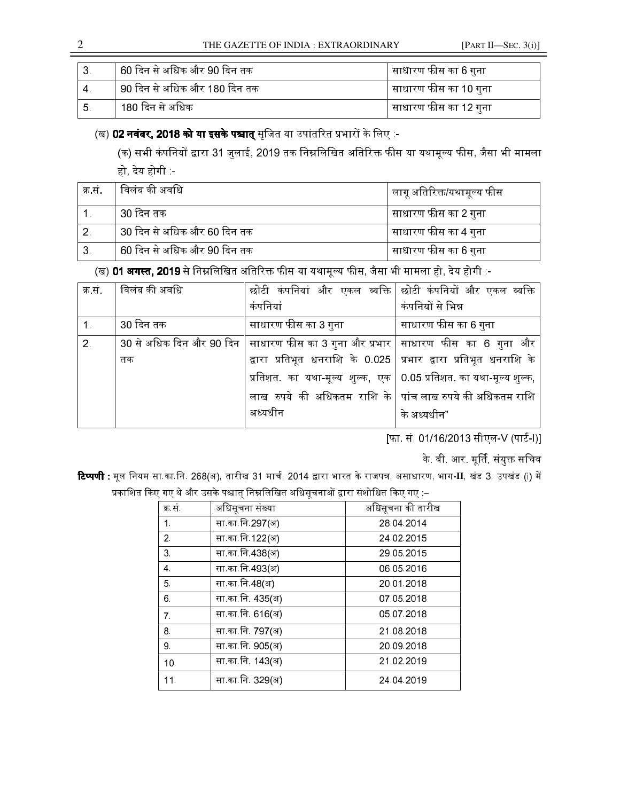THE GAZETTE OF INDIA : EXTRAORDINARY [PART II—SEC. 3(i)]

|           | 60 दिन से अधिक और 90 दिन तक    | साधारण फीस का 6 गुना  |
|-----------|--------------------------------|-----------------------|
| $4 \cdot$ | । 90 दिन से अधिक और 180 दिन तक | साधारण फीस का 10 गुना |
| - 5.      | 180 दिन से अधिक                | साधारण फीस का 12 गुना |

# (ख) **02 नवंबर. 2018 को या इसके पश्चात** सजित या उपांतरित प्रभारों के लिए :-

(क) सभी कंपनियों द्वारा 31 जलाई. 2019 तक निम्नलिखित अतिरिक्त फीस या यथामल्य फीस. जैसा भी मामला हो, देय होगी :-

| क्र सं | विलंब की अवधि               | लागू अतिरिक्त/यथामूल्य फीस |
|--------|-----------------------------|----------------------------|
|        | 30 दिन तक                   | साधारण फीस का 2 गुना       |
|        | 30 दिन से अधिक और 60 दिन तक | साधारण फीस का 4 गुना       |
| 3.     | 60 दिन से अधिक और 90 दिन तक | साधारण फीस का 6 गुना       |

(ख) \$%&%:;))'.9!&S9! 4J=0 %=01:-

| क्र सं | <b>  विलंब की अवधि</b> | छोटी कंपनियां और एकल व्यक्ति   छोटी कंपनियों और एकल व्यक्ति                              |                      |
|--------|------------------------|------------------------------------------------------------------------------------------|----------------------|
|        |                        | कंपनियां                                                                                 | कंपनियों से भिन्न    |
|        | 30 दिन तक              | साधारण फीस का 3 गुना                                                                     | साधारण फीस का 6 गुना |
| 2.     |                        | 30 से अधिक दिन और 90 दिन   साधारण फीस का 3 गुना और प्रभार   साधारण  फीस  का  6  गुना  और |                      |
|        | तक                     | द्वारा प्रतिभूत धनराशि के 0.025 प्रभार द्वारा प्रतिभूत धनराशि के                         |                      |
|        |                        | प्रतिशत. का यथा-मूल्य शुल्क, एक 0.05 प्रतिशत. का यथा-मूल्य शुल्क,                        |                      |
|        |                        | लाख रुपये की अधिकतम राशि के पांचललाख रुपये की अधिकतम राशि                                |                      |
|        |                        | अध्यधीन                                                                                  | के अध्यधीन"          |
|        |                        |                                                                                          |                      |

[फा. सं. 01/16/2013 सीएल-V (पार्ट-I)]

के वी आर मूर्ति, संयुक्त सचिव

**टिप्पणी :** मूल नियम सा.का.नि. 268(अ), तारीख 31 मार्च, 2014 द्वारा भारत के राजपत्र, असाधारण, भाग-II, खंड 3, उपखंड (i) में प्रकाशित किए गए थे और उसके पश्चात निम्नलिखित अधिसचनाओं द्वारा संशोधित किए गए :–

|                 | w                |                   |
|-----------------|------------------|-------------------|
| क्र सं          | अधिसूचना संख्या  | अधिसूचना की तारीख |
| 1.              | सा का नि 297(अ)  | 28 04 2014        |
| 2 <sup>1</sup>  | सा का नि 122(अ)  | 24 02 2015        |
| 3.              | सा का नि 438(अ)  | 29.05.2015        |
| 4.              | सा का नि 493(अ)  | 06 05 2016        |
| 5.              | सा का नि 48(अ)   | 20 01 2018        |
| 6.              | सा का नि. 435(अ) | 07 05 2018        |
| 7 <sup>1</sup>  | सा का नि. 616(अ) | 05 07 2018        |
| 8.              | सा का नि. 797(अ) | 21.08.2018        |
| 9.              | सा का नि. 905(अ) | 20 09 2018        |
| 10 <sub>1</sub> | सा का नि. 143(अ) | 21 02 2019        |
| 11.             | सा का नि 329(अ)  | 24 04 2019        |
|                 |                  |                   |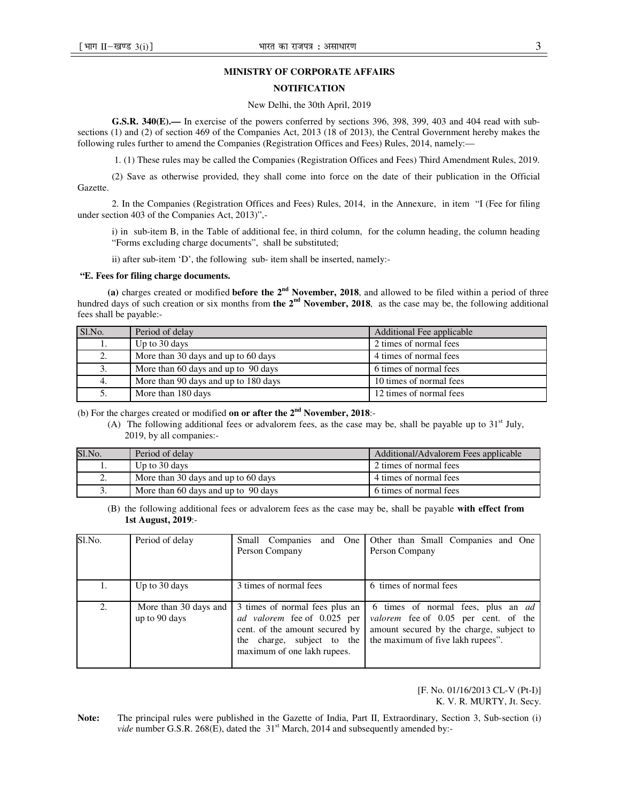### **MINISTRY OF CORPORATE AFFAIRS**

## **NOTIFICATION**

#### New Delhi, the 30th April, 2019

**G.S.R. 340(E).—** In exercise of the powers conferred by sections 396, 398, 399, 403 and 404 read with subsections (1) and (2) of section 469 of the Companies Act, 2013 (18 of 2013), the Central Government hereby makes the following rules further to amend the Companies (Registration Offices and Fees) Rules, 2014, namely:—

1. (1) These rules may be called the Companies (Registration Offices and Fees) Third Amendment Rules, 2019.

(2) Save as otherwise provided, they shall come into force on the date of their publication in the Official Gazette.

2. In the Companies (Registration Offices and Fees) Rules, 2014, in the Annexure, in item "I (Fee for filing under section 403 of the Companies Act, 2013)",-

i) in sub-item B, in the Table of additional fee, in third column, for the column heading, the column heading "Forms excluding charge documents", shall be substituted;

ii) after sub-item 'D', the following sub- item shall be inserted, namely:-

#### **"E. Fees for filing charge documents.**

**(a)** charges created or modified **before the 2nd November, 2018**, and allowed to be filed within a period of three hundred days of such creation or six months from **the 2nd November, 2018**, as the case may be, the following additional fees shall be payable:-

| Sl.No. | Period of delay                      | Additional Fee applicable |
|--------|--------------------------------------|---------------------------|
| ı.     | Up to 30 days                        | 2 times of normal fees    |
| 2.     | More than 30 days and up to 60 days  | 4 times of normal fees    |
|        | More than 60 days and up to 90 days  | 6 times of normal fees    |
| 4.     | More than 90 days and up to 180 days | 10 times of normal fees   |
|        | More than 180 days                   | 12 times of normal fees   |

(b) For the charges created or modified **on or after the 2nd November, 2018**:-

(A) The following additional fees or advalorem fees, as the case may be, shall be payable up to  $31<sup>st</sup>$  July, 2019, by all companies:-

| Sl.No.           | Period of delay                     | Additional/Advalorem Fees applicable |
|------------------|-------------------------------------|--------------------------------------|
|                  | Up to 30 days                       | 2 times of normal fees               |
| ۷.               | More than 30 days and up to 60 days | 4 times of normal fees               |
| $\mathfrak{I}$ . | More than 60 days and up to 90 days | 6 times of normal fees               |

(B) the following additional fees or advalorem fees as the case may be, shall be payable **with effect from 1st August, 2019**:-

| Sl.No. | Period of delay                        | Companies<br>Small<br>One<br>and<br>Person Company                                                                                                           | Other than Small Companies and One<br>Person Company                                                                                                               |
|--------|----------------------------------------|--------------------------------------------------------------------------------------------------------------------------------------------------------------|--------------------------------------------------------------------------------------------------------------------------------------------------------------------|
| Ī.     | Up to 30 days                          | 3 times of normal fees                                                                                                                                       | 6 times of normal fees                                                                                                                                             |
| 2.     | More than 30 days and<br>up to 90 days | 3 times of normal fees plus an<br>ad valorem fee of 0.025 per<br>cent. of the amount secured by<br>the charge, subject to the<br>maximum of one lakh rupees. | 6 times of normal fees, plus an <i>ad</i><br>valorem fee of 0.05 per cent. of the<br>amount secured by the charge, subject to<br>the maximum of five lakh rupees". |

 [F. No. 01/16/2013 CL-V (Pt-I)] K. V. R. MURTY, Jt. Secy.

**Note:** The principal rules were published in the Gazette of India, Part II, Extraordinary, Section 3, Sub-section (i) *vide* number G.S.R. 268(E), dated the 31<sup>st</sup> March, 2014 and subsequently amended by:-